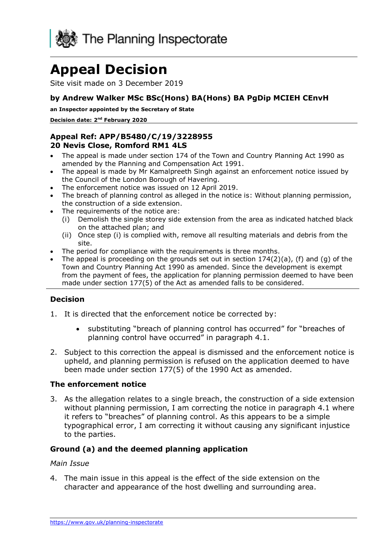

# **Appeal Decision**

Site visit made on 3 December 2019

#### **by Andrew Walker MSc BSc(Hons) BA(Hons) BA PgDip MCIEH CEnvH**

**an Inspector appointed by the Secretary of State** 

**Decision date: 2nd February 2020** 

#### **Appeal Ref: APP/B5480/C/19/3228955 20 Nevis Close, Romford RM1 4LS**

- • The appeal is made under section 174 of the Town and Country Planning Act 1990 as amended by the Planning and Compensation Act 1991.
- • The appeal is made by Mr Kamalpreeth Singh against an enforcement notice issued by the Council of the London Borough of Havering.
- The enforcement notice was issued on 12 April 2019.
- • The breach of planning control as alleged in the notice is: Without planning permission, the construction of a side extension.
- • The requirements of the notice are:
	- (i) Demolish the single storey side extension from the area as indicated hatched black on the attached plan; and
	- (ii) Once step (i) is complied with, remove all resulting materials and debris from the site.
- The period for compliance with the requirements is three months.
- • The appeal is proceeding on the grounds set out in section 174(2)(a), (f) and (g) of the Town and Country Planning Act 1990 as amended. Since the development is exempt from the payment of fees, the application for planning permission deemed to have been made under section 177(5) of the Act as amended falls to be considered.

#### **Decision**

- 1. It is directed that the enforcement notice be corrected by:
	- • substituting "breach of planning control has occurred" for "breaches of planning control have occurred" in paragraph 4.1.
- 2. Subject to this correction the appeal is dismissed and the enforcement notice is upheld, and planning permission is refused on the application deemed to have been made under section 177(5) of the 1990 Act as amended.

#### **The enforcement notice**

 3. As the allegation relates to a single breach, the construction of a side extension without planning permission, I am correcting the notice in paragraph 4.1 where typographical error, I am correcting it without causing any significant injustice it refers to "breaches" of planning control. As this appears to be a simple to the parties.

#### **Ground (a) and the deemed planning application**

#### *Main Issue*

 4. The main issue in this appeal is the effect of the side extension on the character and appearance of the host dwelling and surrounding area.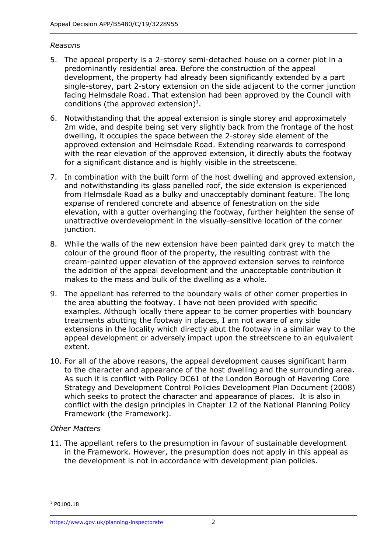#### *Reasons*

- 5. The appeal property is a 2-storey semi-detached house on a corner plot in a predominantly residential area. Before the construction of the appeal development, the property had already been significantly extended by a part single-storey, part 2-story extension on the side adjacent to the corner junction facing Helmsdale Road. That extension had been approved by the Council with conditions (the approved extension)<sup>1</sup>.
- 6. Notwithstanding that the appeal extension is single storey and approximately 2m wide, and despite being set very slightly back from the frontage of the host dwelling, it occupies the space between the 2-storey side element of the with the rear elevation of the approved extension, it directly abuts the footway for a significant distance and is highly visible in the streetscene. approved extension and Helmsdale Road. Extending rearwards to correspond
- 7. In combination with the built form of the host dwelling and approved extension, and notwithstanding its glass panelled roof, the side extension is experienced from Helmsdale Road as a bulky and unacceptably dominant feature. The long expanse of rendered concrete and absence of fenestration on the side elevation, with a gutter overhanging the footway, further heighten the sense of unattractive overdevelopment in the visually-sensitive location of the corner junction.
- 8. While the walls of the new extension have been painted dark grey to match the colour of the ground floor of the property, the resulting contrast with the cream-painted upper elevation of the approved extension serves to reinforce the addition of the appeal development and the unacceptable contribution it makes to the mass and bulk of the dwelling as a whole.
- 9. The appellant has referred to the boundary walls of other corner properties in the area abutting the footway. I have not been provided with specific examples. Although locally there appear to be corner properties with boundary treatments abutting the footway in places, I am not aware of any side extensions in the locality which directly abut the footway in a similar way to the appeal development or adversely impact upon the streetscene to an equivalent extent.
- 10. For all of the above reasons, the appeal development causes significant harm to the character and appearance of the host dwelling and the surrounding area. As such it is conflict with Policy DC61 of the London Borough of Havering Core Strategy and Development Control Policies Development Plan Document (2008) which seeks to protect the character and appearance of places. It is also in conflict with the design principles in Chapter 12 of the National Planning Policy Framework (the Framework).

### *Other Matters*

 11. The appellant refers to the presumption in favour of sustainable development in the Framework. However, the presumption does not apply in this appeal as the development is not in accordance with development plan policies.

<sup>&</sup>lt;sup>1</sup> P0100.18